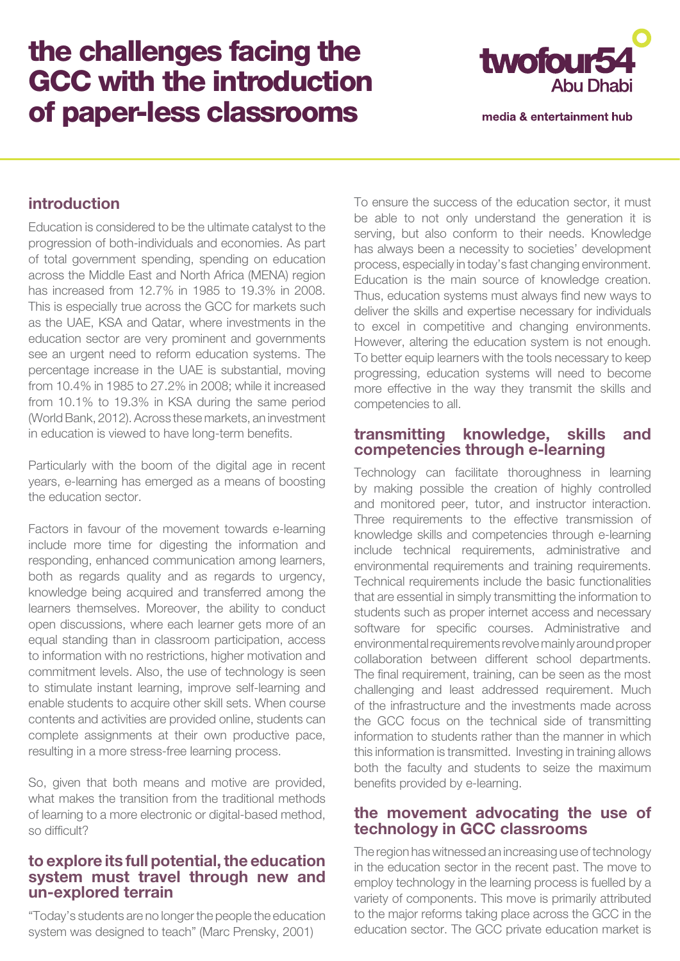# the challenges facing the GCC with the introduction of paper-less classrooms



media & entertainment hub

# **introduction**

Education is considered to be the ultimate catalyst to the progression of both-individuals and economies. As part of total government spending, spending on education across the Middle East and North Africa (MENA) region has increased from 12.7% in 1985 to 19.3% in 2008. This is especially true across the GCC for markets such as the UAE, KSA and Qatar, where investments in the education sector are very prominent and governments see an urgent need to reform education systems. The percentage increase in the UAE is substantial, moving from 10.4% in 1985 to 27.2% in 2008; while it increased from 10.1% to 19.3% in KSA during the same period (World Bank, 2012). Across these markets, an investment in education is viewed to have long-term benefits.

Particularly with the boom of the digital age in recent years, e-learning has emerged as a means of boosting the education sector.

Factors in favour of the movement towards e-learning include more time for digesting the information and responding, enhanced communication among learners, both as regards quality and as regards to urgency, knowledge being acquired and transferred among the learners themselves. Moreover, the ability to conduct open discussions, where each learner gets more of an equal standing than in classroom participation, access to information with no restrictions, higher motivation and commitment levels. Also, the use of technology is seen to stimulate instant learning, improve self-learning and enable students to acquire other skill sets. When course contents and activities are provided online, students can complete assignments at their own productive pace, resulting in a more stress-free learning process.

So, given that both means and motive are provided, what makes the transition from the traditional methods of learning to a more electronic or digital-based method, so difficult?

## **to explore its full potential, the education system must travel through new and un-explored terrain**

"Today's students are no longer the people the education system was designed to teach" (Marc Prensky, 2001)

To ensure the success of the education sector, it must be able to not only understand the generation it is serving, but also conform to their needs. Knowledge has always been a necessity to societies' development process, especially in today's fast changing environment. Education is the main source of knowledge creation. Thus, education systems must always find new ways to deliver the skills and expertise necessary for individuals to excel in competitive and changing environments. However, altering the education system is not enough. To better equip learners with the tools necessary to keep progressing, education systems will need to become more effective in the way they transmit the skills and competencies to all.

#### **transmitting knowledge, skills and competencies through e-learning**

Technology can facilitate thoroughness in learning by making possible the creation of highly controlled and monitored peer, tutor, and instructor interaction. Three requirements to the effective transmission of knowledge skills and competencies through e-learning include technical requirements, administrative and environmental requirements and training requirements. Technical requirements include the basic functionalities that are essential in simply transmitting the information to students such as proper internet access and necessary software for specific courses. Administrative and environmental requirements revolve mainly around proper collaboration between different school departments. The final requirement, training, can be seen as the most challenging and least addressed requirement. Much of the infrastructure and the investments made across the GCC focus on the technical side of transmitting information to students rather than the manner in which this information is transmitted. Investing in training allows both the faculty and students to seize the maximum benefits provided by e-learning.

## **the movement advocating the use of technology in GCC classrooms**

The region has witnessed an increasing use of technology in the education sector in the recent past. The move to employ technology in the learning process is fuelled by a variety of components. This move is primarily attributed to the major reforms taking place across the GCC in the education sector. The GCC private education market is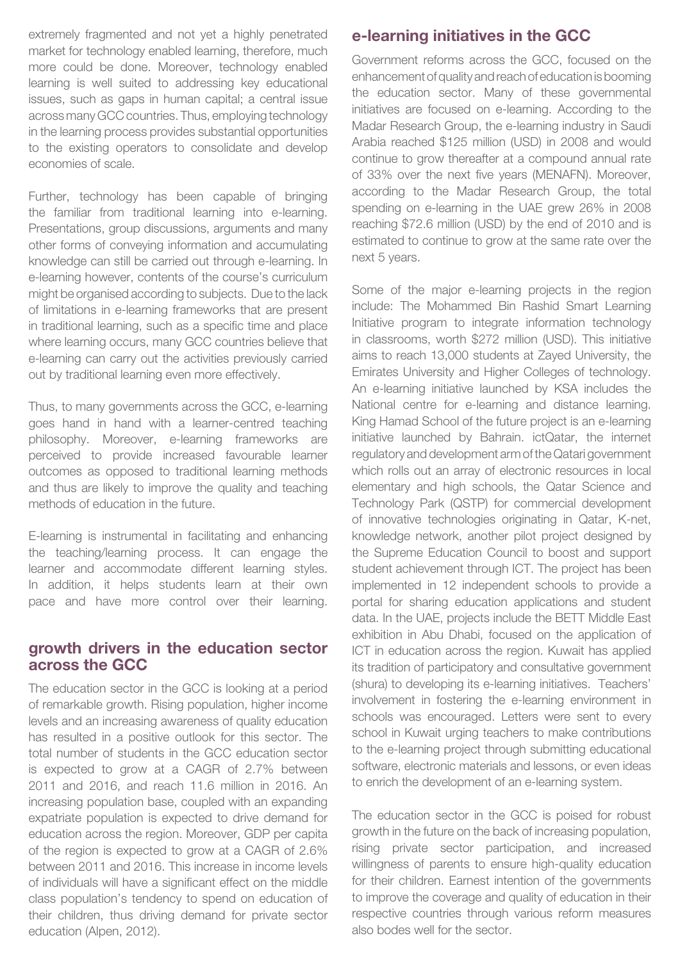extremely fragmented and not yet a highly penetrated market for technology enabled learning, therefore, much more could be done. Moreover, technology enabled learning is well suited to addressing key educational issues, such as gaps in human capital; a central issue across many GCC countries. Thus, employing technology in the learning process provides substantial opportunities to the existing operators to consolidate and develop economies of scale.

Further, technology has been capable of bringing the familiar from traditional learning into e-learning. Presentations, group discussions, arguments and many other forms of conveying information and accumulating knowledge can still be carried out through e-learning. In e-learning however, contents of the course's curriculum might be organised according to subjects. Due to the lack of limitations in e-learning frameworks that are present in traditional learning, such as a specific time and place where learning occurs, many GCC countries believe that e-learning can carry out the activities previously carried out by traditional learning even more effectively.

Thus, to many governments across the GCC, e-learning goes hand in hand with a learner-centred teaching philosophy. Moreover, e-learning frameworks are perceived to provide increased favourable learner outcomes as opposed to traditional learning methods and thus are likely to improve the quality and teaching methods of education in the future.

E-learning is instrumental in facilitating and enhancing the teaching/learning process. It can engage the learner and accommodate different learning styles. In addition, it helps students learn at their own pace and have more control over their learning.

## **growth drivers in the education sector across the GCC**

The education sector in the GCC is looking at a period of remarkable growth. Rising population, higher income levels and an increasing awareness of quality education has resulted in a positive outlook for this sector. The total number of students in the GCC education sector is expected to grow at a CAGR of 2.7% between 2011 and 2016, and reach 11.6 million in 2016. An increasing population base, coupled with an expanding expatriate population is expected to drive demand for education across the region. Moreover, GDP per capita of the region is expected to grow at a CAGR of 2.6% between 2011 and 2016. This increase in income levels of individuals will have a significant effect on the middle class population's tendency to spend on education of their children, thus driving demand for private sector education (Alpen, 2012).

# **e-learning initiatives in the GCC**

Government reforms across the GCC, focused on the enhancement of quality and reach of education is booming the education sector. Many of these governmental initiatives are focused on e-learning. According to the Madar Research Group, the e-learning industry in Saudi Arabia reached \$125 million (USD) in 2008 and would continue to grow thereafter at a compound annual rate of 33% over the next five years (MENAFN). Moreover, according to the Madar Research Group, the total spending on e-learning in the UAE grew 26% in 2008 reaching \$72.6 million (USD) by the end of 2010 and is estimated to continue to grow at the same rate over the next 5 years.

Some of the major e-learning projects in the region include: The Mohammed Bin Rashid Smart Learning Initiative program to integrate information technology in classrooms, worth \$272 million (USD). This initiative aims to reach 13,000 students at Zayed University, the Emirates University and Higher Colleges of technology. An e-learning initiative launched by KSA includes the National centre for e-learning and distance learning. King Hamad School of the future project is an e-learning initiative launched by Bahrain. ictQatar, the internet regulatory and development arm of the Qatari government which rolls out an array of electronic resources in local elementary and high schools, the Qatar Science and Technology Park (QSTP) for commercial development of innovative technologies originating in Qatar, K-net, knowledge network, another pilot project designed by the Supreme Education Council to boost and support student achievement through ICT. The project has been implemented in 12 independent schools to provide a portal for sharing education applications and student data. In the UAE, projects include the BETT Middle East exhibition in Abu Dhabi, focused on the application of ICT in education across the region. Kuwait has applied its tradition of participatory and consultative government (shura) to developing its e-learning initiatives. Teachers' involvement in fostering the e-learning environment in schools was encouraged. Letters were sent to every school in Kuwait urging teachers to make contributions to the e-learning project through submitting educational software, electronic materials and lessons, or even ideas to enrich the development of an e-learning system.

The education sector in the GCC is poised for robust growth in the future on the back of increasing population, rising private sector participation, and increased willingness of parents to ensure high-quality education for their children. Earnest intention of the governments to improve the coverage and quality of education in their respective countries through various reform measures also bodes well for the sector.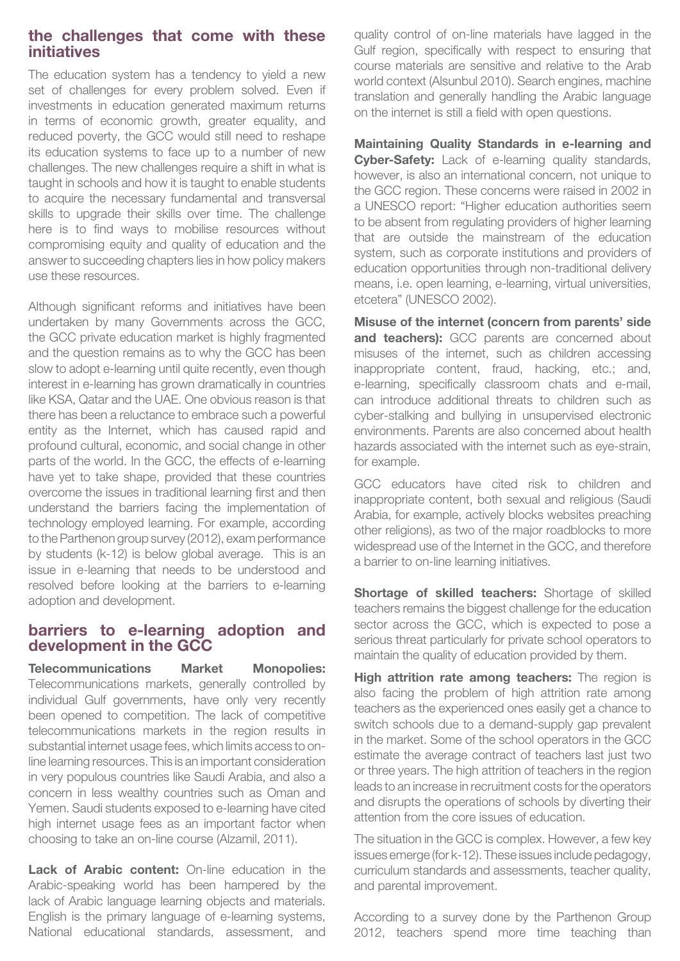## **the challenges that come with these initiatives**

The education system has a tendency to yield a new set of challenges for every problem solved. Even if investments in education generated maximum returns in terms of economic growth, greater equality, and reduced poverty, the GCC would still need to reshape its education systems to face up to a number of new challenges. The new challenges require a shift in what is taught in schools and how it is taught to enable students to acquire the necessary fundamental and transversal skills to upgrade their skills over time. The challenge here is to find ways to mobilise resources without compromising equity and quality of education and the answer to succeeding chapters lies in how policy makers use these resources.

Although significant reforms and initiatives have been undertaken by many Governments across the GCC, the GCC private education market is highly fragmented and the question remains as to why the GCC has been slow to adopt e-learning until quite recently, even though interest in e-learning has grown dramatically in countries like KSA, Qatar and the UAE. One obvious reason is that there has been a reluctance to embrace such a powerful entity as the Internet, which has caused rapid and profound cultural, economic, and social change in other parts of the world. In the GCC, the effects of e-learning have yet to take shape, provided that these countries overcome the issues in traditional learning first and then understand the barriers facing the implementation of technology employed learning. For example, according to the Parthenon group survey (2012), exam performance by students (k-12) is below global average. This is an issue in e-learning that needs to be understood and resolved before looking at the barriers to e-learning adoption and development.

#### **barriers to e-learning adoption and development in the GCC**

**Telecommunications Market Monopolies:**  Telecommunications markets, generally controlled by individual Gulf governments, have only very recently been opened to competition. The lack of competitive telecommunications markets in the region results in substantial internet usage fees, which limits access to online learning resources. This is an important consideration in very populous countries like Saudi Arabia, and also a concern in less wealthy countries such as Oman and Yemen. Saudi students exposed to e-learning have cited high internet usage fees as an important factor when choosing to take an on-line course (Alzamil, 2011).

Lack of Arabic content: On-line education in the Arabic-speaking world has been hampered by the lack of Arabic language learning objects and materials. English is the primary language of e-learning systems, National educational standards, assessment, and

quality control of on-line materials have lagged in the Gulf region, specifically with respect to ensuring that course materials are sensitive and relative to the Arab world context (Alsunbul 2010). Search engines, machine translation and generally handling the Arabic language on the internet is still a field with open questions.

**Maintaining Quality Standards in e-learning and Cyber-Safety:** Lack of e-learning quality standards, however, is also an international concern, not unique to the GCC region. These concerns were raised in 2002 in a UNESCO report: "Higher education authorities seem to be absent from regulating providers of higher learning that are outside the mainstream of the education system, such as corporate institutions and providers of education opportunities through non-traditional delivery means, i.e. open learning, e-learning, virtual universities, etcetera" (UNESCO 2002).

**Misuse of the internet (concern from parents' side and teachers):** GCC parents are concerned about misuses of the internet, such as children accessing inappropriate content, fraud, hacking, etc.; and, e-learning, specifically classroom chats and e-mail, can introduce additional threats to children such as cyber-stalking and bullying in unsupervised electronic environments. Parents are also concerned about health hazards associated with the internet such as eye-strain, for example.

GCC educators have cited risk to children and inappropriate content, both sexual and religious (Saudi Arabia, for example, actively blocks websites preaching other religions), as two of the major roadblocks to more widespread use of the Internet in the GCC, and therefore a barrier to on-line learning initiatives.

**Shortage of skilled teachers:** Shortage of skilled teachers remains the biggest challenge for the education sector across the GCC, which is expected to pose a serious threat particularly for private school operators to maintain the quality of education provided by them.

**High attrition rate among teachers:** The region is also facing the problem of high attrition rate among teachers as the experienced ones easily get a chance to switch schools due to a demand-supply gap prevalent in the market. Some of the school operators in the GCC estimate the average contract of teachers last just two or three years. The high attrition of teachers in the region leads to an increase in recruitment costs for the operators and disrupts the operations of schools by diverting their attention from the core issues of education.

The situation in the GCC is complex. However, a few key issues emerge (for k-12). These issues include pedagogy, curriculum standards and assessments, teacher quality, and parental improvement.

According to a survey done by the Parthenon Group 2012, teachers spend more time teaching than